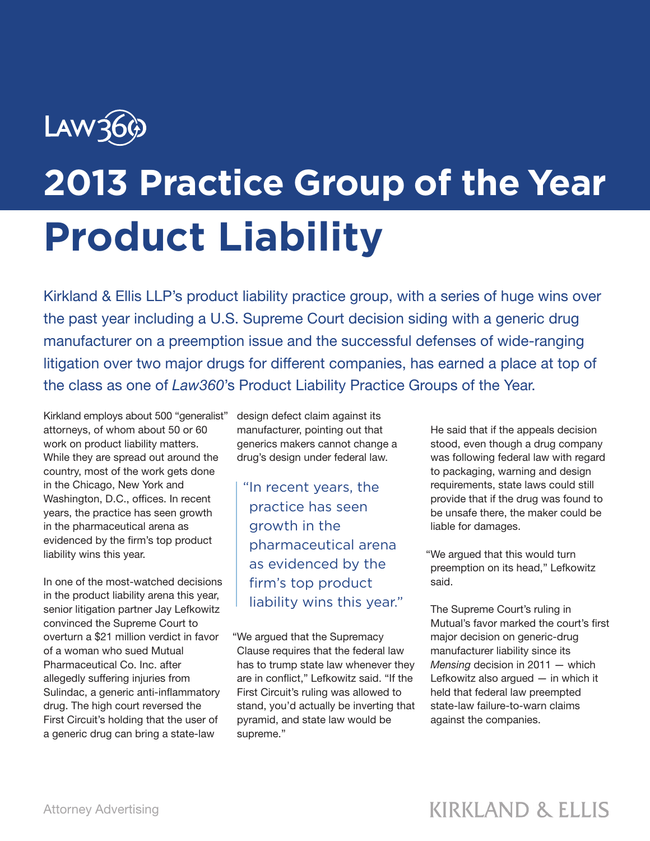## LAW36 **2013 Practice Group of the Year Product Liability**

Kirkland & Ellis LLP's product liability practice group, with a series of huge wins over the past year including a U.S. Supreme Court decision siding with a generic drug manufacturer on a preemption issue and the successful defenses of wide-ranging litigation over two major drugs for different companies, has earned a place at top of the class as one of *Law360*'s Product Liability Practice Groups of the Year.

Kirkland employs about 500 "generalist" attorneys, of whom about 50 or 60 work on product liability matters. While they are spread out around the country, most of the work gets done in the Chicago, New York and Washington, D.C., offices. In recent years, the practice has seen growth in the pharmaceutical arena as evidenced by the firm's top product liability wins this year.

In one of the most-watched decisions in the product liability arena this year, senior litigation partner Jay Lefkowitz convinced the Supreme Court to overturn a \$21 million verdict in favor of a woman who sued Mutual Pharmaceutical Co. Inc. after allegedly suffering injuries from Sulindac, a generic anti-inflammatory drug. The high court reversed the First Circuit's holding that the user of a generic drug can bring a state-law

design defect claim against its manufacturer, pointing out that generics makers cannot change a drug's design under federal law.

"In recent years, the practice has seen growth in the pharmaceutical arena as evidenced by the firm's top product liability wins this year."

"We argued that the Supremacy Clause requires that the federal law has to trump state law whenever they are in conflict," Lefkowitz said. "If the First Circuit's ruling was allowed to stand, you'd actually be inverting that pyramid, and state law would be supreme."

He said that if the appeals decision stood, even though a drug company was following federal law with regard to packaging, warning and design requirements, state laws could still provide that if the drug was found to be unsafe there, the maker could be liable for damages.

"We argued that this would turn preemption on its head," Lefkowitz said.

The Supreme Court's ruling in Mutual's favor marked the court's first major decision on generic-drug manufacturer liability since its *Mensing* decision in 2011 — which Lefkowitz also argued — in which it held that federal law preempted state-law failure-to-warn claims against the companies.